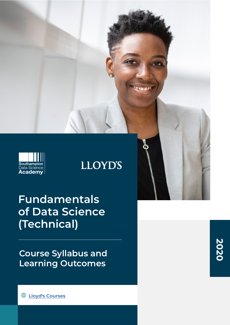

# **LLOYD'S**

# **Fundamentals of Data Science (Technical)**

**Course Syllabus and Learning Outcomes**

**2020**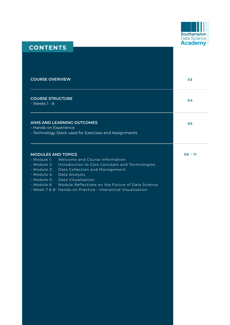

# **CONTENTS**

| <b>COURSE OVERVIEW</b>                                                                                                                                                                                                                                                                                                                                                                           | 03        |
|--------------------------------------------------------------------------------------------------------------------------------------------------------------------------------------------------------------------------------------------------------------------------------------------------------------------------------------------------------------------------------------------------|-----------|
| <b>COURSE STRUCTURE</b><br>- Weeks 1 - 8                                                                                                                                                                                                                                                                                                                                                         | 04        |
| <b>AIMS AND LEARNING OUTCOMES</b><br>- Hands-on Experience<br>- Technology Stack used for Exercises and Assignments                                                                                                                                                                                                                                                                              | 05        |
| <b>MODULES AND TOPICS</b><br>- Module 1:<br>Welcome and Course Information<br>- Module 2:<br>Introduction to Core Concepts and Technologies<br>- Module 3:<br>Data Collection and Management<br>- Module 4:<br>Data Analysis<br>Data Visualisation<br>- Module 5:<br>- Module 6: Module Reflections on the Future of Data Science<br>- Week 7 & 8: Hands-on Practice - Interactive Visualisation | $06 - 11$ |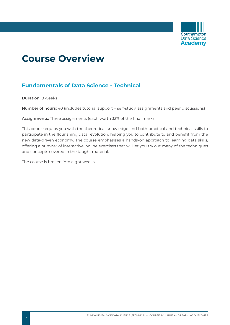

# **Course Overview**

## **Fundamentals of Data Science - Technical**

**Duration:** 8 weeks

**Number of hours:** 40 (includes tutorial support + self-study, assignments and peer discussions)

**Assignments:** Three assignments (each worth 33% of the final mark)

This course equips you with the theoretical knowledge and both practical and technical skills to participate in the flourishing data revolution, helping you to contribute to and benefit from the new data-driven economy. The course emphasises a hands-on approach to learning data skills, offering a number of interactive, online exercises that will let you try out many of the techniques and concepts covered in the taught material.

The course is broken into eight weeks.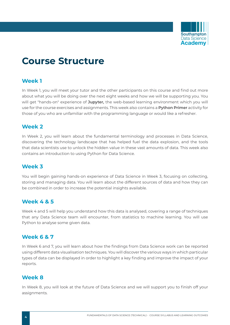

# **Course Structure**

## **Week 1**

In Week 1, you will meet your tutor and the other participants on this course and find out more about what you will be doing over the next eight weeks and how we will be supporting you. You will get "hands-on" experience of **Jupyter,** the web-based learning environment which you will use for the course exercises and assignments. This week also contains a **Python Primer** activity for those of you who are unfamiliar with the programming language or would like a refresher.

## **Week 2**

In Week 2, you will learn about the fundamental terminology and processes in Data Science, discovering the technology landscape that has helped fuel the data explosion, and the tools that data scientists use to unlock the hidden value in these vast amounts of data. This week also contains an introduction to using Python for Data Science.

## **Week 3**

You will begin gaining hands-on experience of Data Science in Week 3, focusing on collecting, storing and managing data. You will learn about the different sources of data and how they can be combined in order to increase the potential insights available.

## **Week 4 & 5**

Week 4 and 5 will help you understand how this data is analysed, covering a range of techniques that any Data Science team will encounter, from statistics to machine learning. You will use Python to analyse some given data.

## **Week 6 & 7**

In Week 6 and 7, you will learn about how the findings from Data Science work can be reported using different data visualisation techniques. You will discover the various ways in which particular types of data can be displayed in order to highlight a key finding and improve the impact of your reports.

## **Week 8**

In Week 8, you will look at the future of Data Science and we will support you to finish off your assignments.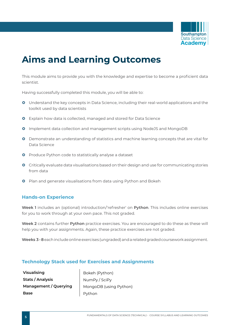

# **Aims and Learning Outcomes**

This module aims to provide you with the knowledge and expertise to become a proficient data scientist.

Having successfully completed this module, you will be able to:

- **O** Understand the key concepts in Data Science, including their real-world applications and the toolkit used by data scientists
- **O** Explain how data is collected, managed and stored for Data Science
- **O** Implement data collection and management scripts using NodeJS and MongoDB
- **O** Demonstrate an understanding of statistics and machine learning concepts that are vital for Data Science
- **O** Produce Python code to statistically analyse a dataset
- **O** Critically evaluate data visualisations based on their design and use for communicating stories from data
- **O** Plan and generate visualisations from data using Python and Bokeh

### **Hands-on Experience**

**Week 1** includes an (optional) introduction/'refresher' on **Python**. This includes online exercises for you to work through at your own pace. This not graded.

**Week 2** contains further **Python** practice exercises. You are encouraged to do these as these will help you with your assignments. Again, these practice exercises are not graded.

**Weeks 3 - 8** each include online exercises (ungraded) and a related graded coursework assignment.

### **Technology Stack used for Exercises and Assignments**

**Visualising** Bokeh (Python) **Stats / Analysis** NumPy / SciPy **Base** Python

**Management / Querying** | MongoDB (using Python)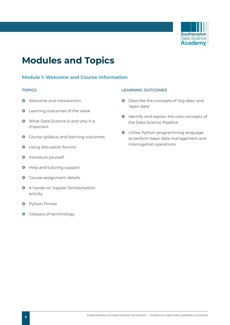

# **Modules and Topics**

### **Module 1: Welcome and Course Information**

- **O** Welcome and introduction
- **O** Learning outcomes of the week
- **O** What Data Science is and why it is important
- **O** Course syllabus and learning outcomes
- **O** Using discussion forums
- **O** Introduce yourself
- **O** Help and tutoring support
- **O** Course assignment details
- **O** A hands-on Jupyter familiarisation activity
- **O** Python Primer
- **O** Glossary of terminology

- **O** Describe the concepts of 'big data' and 'open data'
- **O** Identify and explain the core concepts of the Data Science Pipeline
- **O** Utilise Python programming language to perform basic data management and interrogation operations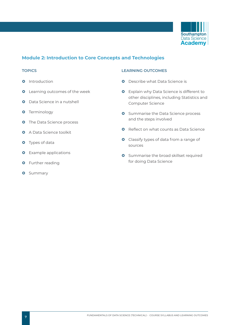

### **Module 2: Introduction to Core Concepts and Technologies**

- **0** Introduction
- **O** Learning outcomes of the week
- **O** Data Science in a nutshell
- **O** Terminology
- **O** The Data Science process
- **Q** A Data Science toolkit
- **O** Types of data
- **O** Example applications
- **O** Further reading
- **O** Summary

- **O** Describe what Data Science is
- **O** Explain why Data Science is different to other disciplines, including Statistics and Computer Science
- **O** Summarise the Data Science process and the steps involved
- **O** Reflect on what counts as Data Science
- **O** Classify types of data from a range of sources
- **O** Summarise the broad skillset required for doing Data Science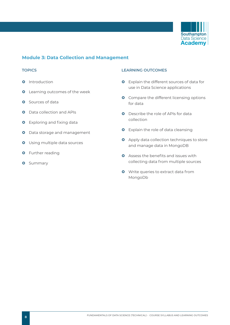

### **Module 3: Data Collection and Management**

- **0** Introduction
- **O** Learning outcomes of the week
- **O** Sources of data
- **Q** Data collection and APIs
- **O** Exploring and fixing data
- **O** Data storage and management
- **O** Using multiple data sources
- **O** Further reading
- **O** Summary

- **O** Explain the different sources of data for use in Data Science applications
- **O** Compare the different licensing options for data
- **O** Describe the role of APIs for data collection
- **O** Explain the role of data cleansing
- **O** Apply data collection techniques to store and manage data in MongoDB
- **Q** Assess the benefits and issues with collecting data from multiple sources
- **O** Write queries to extract data from MongoDb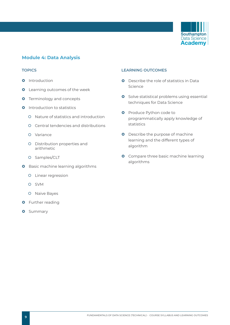

### **Module 4: Data Analysis**

- **0** Introduction
- **O** Learning outcomes of the week
- **O** Terminology and concepts
- **Q** Introduction to statistics
	- | Nature of statistics and introduction
	- | Central tendencies and distributions
	- O Variance
	- O Distribution properties and arithmetic
	- O Samples/CLT
- **O** Basic machine learning algorithms
	- O Linear regression
	- | SVM
	- O Naive Bayes
- **O** Further reading
- **O** Summary

- **Q** Describe the role of statistics in Data Science
- **O** Solve statistical problems using essential techniques for Data Science
- **O** Produce Python code to programmatically apply knowledge of statistics
- **O** Describe the purpose of machine learning and the different types of algorithm
- **O** Compare three basic machine learning algorithms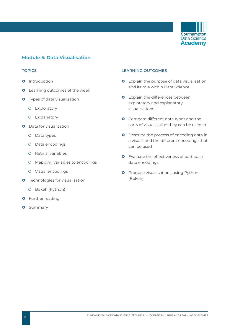

### **Module 5: Data Visualisation**

- **O** Introduction
- **O** Learning outcomes of the week
- **O** Types of data visualisation
	- O Exploratory
	- O Explanatory
- **O** Data for visualisation
	- O Data types
	- O Data encodings
	- O Retinal variables
	- | Mapping variables to encodings
	- O Visual encodings
- **O** Technologies for visualisation
	- O Bokeh (Python)
- **O** Further reading
- **O** Summary

- **O** Explain the purpose of data visualisation and its role within Data Science
- **O** Explain the differences between exploratory and explanatory visualisations
- **O** Compare different data types and the sorts of visualisation they can be used in
- **O** Describe the process of encoding data in a visual, and the different encodings that can be used
- **O** Evaluate the effectiveness of particular data encodings
- **O** Produce visualisations using Python (Bokeh)